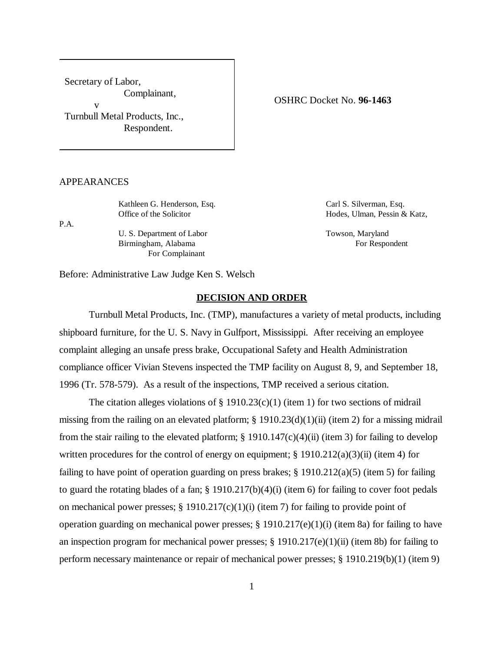Secretary of Labor, Complainant, v Turnbull Metal Products, Inc., Respondent.

OSHRC Docket No. **96-1463**

# APPEARANCES

Kathleen G. Henderson, Esq. Carl S. Silverman, Esq.

P.A.

U. S. Department of Labor Towson, Maryland Birmingham, Alabama For Respondent For Complainant

Office of the Solicitor **Hodes**, Ulman, Pessin & Katz,

Before: Administrative Law Judge Ken S. Welsch

### **DECISION AND ORDER**

Turnbull Metal Products, Inc. (TMP), manufactures a variety of metal products, including shipboard furniture, for the U. S. Navy in Gulfport, Mississippi. After receiving an employee complaint alleging an unsafe press brake, Occupational Safety and Health Administration compliance officer Vivian Stevens inspected the TMP facility on August 8, 9, and September 18, 1996 (Tr. 578-579). As a result of the inspections, TMP received a serious citation.

The citation alleges violations of  $\S$  1910.23(c)(1) (item 1) for two sections of midrail missing from the railing on an elevated platform;  $\S$  1910.23(d)(1)(ii) (item 2) for a missing midrail from the stair railing to the elevated platform;  $\S 1910.147(c)(4)(ii)$  (item 3) for failing to develop written procedures for the control of energy on equipment;  $\S 1910.212(a)(3)(ii)$  (item 4) for failing to have point of operation guarding on press brakes;  $\S$  1910.212(a)(5) (item 5) for failing to guard the rotating blades of a fan; § 1910.217(b)(4)(i) (item 6) for failing to cover foot pedals on mechanical power presses;  $\S 1910.217(c)(1)(i)$  (item 7) for failing to provide point of operation guarding on mechanical power presses; § 1910.217(e)(1)(i) (item 8a) for failing to have an inspection program for mechanical power presses; § 1910.217(e)(1)(ii) (item 8b) for failing to perform necessary maintenance or repair of mechanical power presses; § 1910.219(b)(1) (item 9)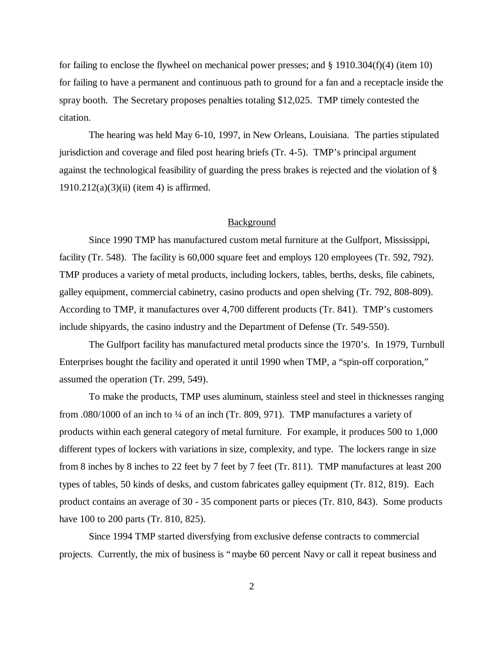for failing to enclose the flywheel on mechanical power presses; and  $\S$  1910.304(f)(4) (item 10) for failing to have a permanent and continuous path to ground for a fan and a receptacle inside the spray booth. The Secretary proposes penalties totaling \$12,025. TMP timely contested the citation.

The hearing was held May 6-10, 1997, in New Orleans, Louisiana. The parties stipulated jurisdiction and coverage and filed post hearing briefs (Tr. 4-5). TMP's principal argument against the technological feasibility of guarding the press brakes is rejected and the violation of §  $1910.212(a)(3)(ii)$  (item 4) is affirmed.

### Background

Since 1990 TMP has manufactured custom metal furniture at the Gulfport, Mississippi, facility (Tr. 548). The facility is 60,000 square feet and employs 120 employees (Tr. 592, 792). TMP produces a variety of metal products, including lockers, tables, berths, desks, file cabinets, galley equipment, commercial cabinetry, casino products and open shelving (Tr. 792, 808-809). According to TMP, it manufactures over 4,700 different products (Tr. 841). TMP's customers include shipyards, the casino industry and the Department of Defense (Tr. 549-550).

The Gulfport facility has manufactured metal products since the 1970's. In 1979, Turnbull Enterprises bought the facility and operated it until 1990 when TMP, a "spin-off corporation," assumed the operation (Tr. 299, 549).

To make the products, TMP uses aluminum, stainless steel and steel in thicknesses ranging from .080/1000 of an inch to ¼ of an inch (Tr. 809, 971). TMP manufactures a variety of products within each general category of metal furniture. For example, it produces 500 to 1,000 different types of lockers with variations in size, complexity, and type. The lockers range in size from 8 inches by 8 inches to 22 feet by 7 feet by 7 feet (Tr. 811). TMP manufactures at least 200 types of tables, 50 kinds of desks, and custom fabricates galley equipment (Tr. 812, 819). Each product contains an average of 30 - 35 component parts or pieces (Tr. 810, 843). Some products have 100 to 200 parts (Tr. 810, 825).

Since 1994 TMP started diversfying from exclusive defense contracts to commercial projects. Currently, the mix of business is "maybe 60 percent Navy or call it repeat business and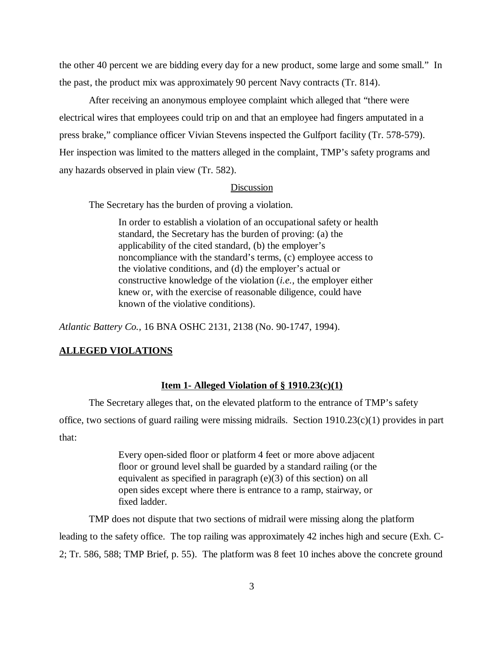the other 40 percent we are bidding every day for a new product, some large and some small." In the past, the product mix was approximately 90 percent Navy contracts (Tr. 814).

After receiving an anonymous employee complaint which alleged that "there were electrical wires that employees could trip on and that an employee had fingers amputated in a press brake," compliance officer Vivian Stevens inspected the Gulfport facility (Tr. 578-579). Her inspection was limited to the matters alleged in the complaint, TMP's safety programs and any hazards observed in plain view (Tr. 582).

## Discussion

The Secretary has the burden of proving a violation.

In order to establish a violation of an occupational safety or health standard, the Secretary has the burden of proving: (a) the applicability of the cited standard, (b) the employer's noncompliance with the standard's terms, (c) employee access to the violative conditions, and (d) the employer's actual or constructive knowledge of the violation (*i.e.,* the employer either knew or, with the exercise of reasonable diligence, could have known of the violative conditions).

*Atlantic Battery Co.,* 16 BNA OSHC 2131, 2138 (No. 90-1747, 1994).

## **ALLEGED VIOLATIONS**

### **Item 1- Alleged Violation of § 1910.23(c)(1)**

The Secretary alleges that, on the elevated platform to the entrance of TMP's safety office, two sections of guard railing were missing midrails. Section 1910.23(c)(1) provides in part that:

> Every open-sided floor or platform 4 feet or more above adjacent floor or ground level shall be guarded by a standard railing (or the equivalent as specified in paragraph (e)(3) of this section) on all open sides except where there is entrance to a ramp, stairway, or fixed ladder.

TMP does not dispute that two sections of midrail were missing along the platform leading to the safety office. The top railing was approximately 42 inches high and secure (Exh. C-2; Tr. 586, 588; TMP Brief, p. 55). The platform was 8 feet 10 inches above the concrete ground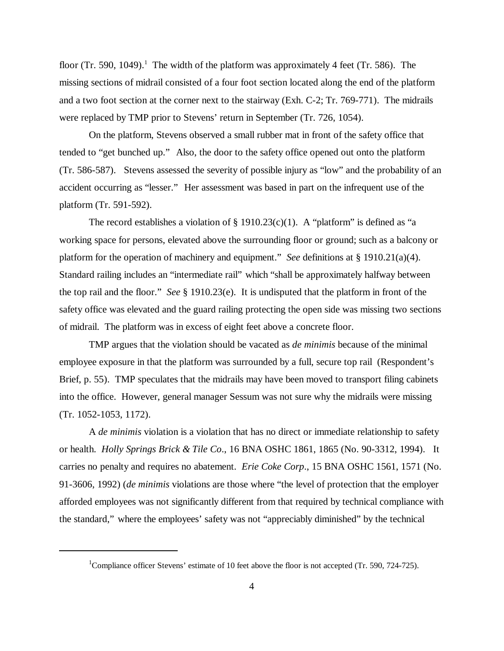floor (Tr. 590, 1049).<sup>1</sup> The width of the platform was approximately 4 feet (Tr. 586). The missing sections of midrail consisted of a four foot section located along the end of the platform and a two foot section at the corner next to the stairway (Exh. C-2; Tr. 769-771). The midrails were replaced by TMP prior to Stevens' return in September (Tr. 726, 1054).

On the platform, Stevens observed a small rubber mat in front of the safety office that tended to "get bunched up." Also, the door to the safety office opened out onto the platform (Tr. 586-587). Stevens assessed the severity of possible injury as "low" and the probability of an accident occurring as "lesser." Her assessment was based in part on the infrequent use of the platform (Tr. 591-592).

The record establishes a violation of  $\S$  1910.23(c)(1). A "platform" is defined as "a working space for persons, elevated above the surrounding floor or ground; such as a balcony or platform for the operation of machinery and equipment." *See* definitions at § 1910.21(a)(4). Standard railing includes an "intermediate rail" which "shall be approximately halfway between the top rail and the floor." *See* § 1910.23(e). It is undisputed that the platform in front of the safety office was elevated and the guard railing protecting the open side was missing two sections of midrail. The platform was in excess of eight feet above a concrete floor.

TMP argues that the violation should be vacated as *de minimis* because of the minimal employee exposure in that the platform was surrounded by a full, secure top rail (Respondent's Brief, p. 55). TMP speculates that the midrails may have been moved to transport filing cabinets into the office. However, general manager Sessum was not sure why the midrails were missing (Tr. 1052-1053, 1172).

A *de minimis* violation is a violation that has no direct or immediate relationship to safety or health. *Holly Springs Brick & Tile Co*., 16 BNA OSHC 1861, 1865 (No. 90-3312, 1994). It carries no penalty and requires no abatement. *Erie Coke Corp*., 15 BNA OSHC 1561, 1571 (No. 91-3606, 1992) (*de minimis* violations are those where "the level of protection that the employer afforded employees was not significantly different from that required by technical compliance with the standard," where the employees' safety was not "appreciably diminished" by the technical

<sup>&</sup>lt;sup>1</sup>Compliance officer Stevens' estimate of 10 feet above the floor is not accepted (Tr. 590, 724-725).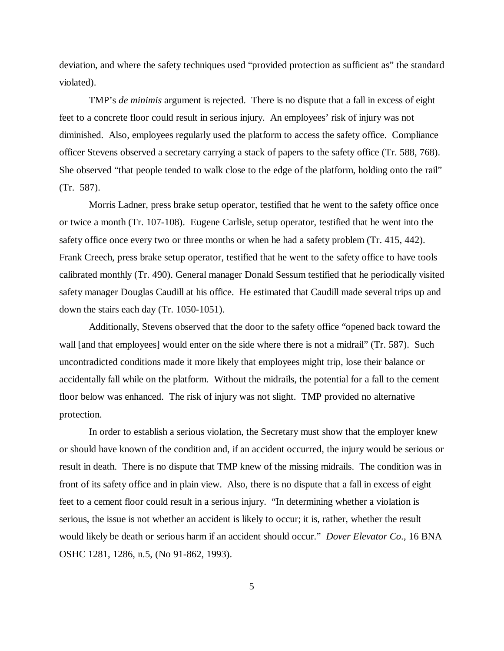deviation, and where the safety techniques used "provided protection as sufficient as" the standard violated).

TMP's *de minimis* argument is rejected. There is no dispute that a fall in excess of eight feet to a concrete floor could result in serious injury. An employees' risk of injury was not diminished. Also, employees regularly used the platform to access the safety office. Compliance officer Stevens observed a secretary carrying a stack of papers to the safety office (Tr. 588, 768). She observed "that people tended to walk close to the edge of the platform, holding onto the rail" (Tr. 587).

Morris Ladner, press brake setup operator, testified that he went to the safety office once or twice a month (Tr. 107-108). Eugene Carlisle, setup operator, testified that he went into the safety office once every two or three months or when he had a safety problem (Tr. 415, 442). Frank Creech, press brake setup operator, testified that he went to the safety office to have tools calibrated monthly (Tr. 490). General manager Donald Sessum testified that he periodically visited safety manager Douglas Caudill at his office. He estimated that Caudill made several trips up and down the stairs each day (Tr. 1050-1051).

Additionally, Stevens observed that the door to the safety office "opened back toward the wall [and that employees] would enter on the side where there is not a midrail" (Tr. 587). Such uncontradicted conditions made it more likely that employees might trip, lose their balance or accidentally fall while on the platform. Without the midrails, the potential for a fall to the cement floor below was enhanced. The risk of injury was not slight. TMP provided no alternative protection.

In order to establish a serious violation, the Secretary must show that the employer knew or should have known of the condition and, if an accident occurred, the injury would be serious or result in death. There is no dispute that TMP knew of the missing midrails. The condition was in front of its safety office and in plain view. Also, there is no dispute that a fall in excess of eight feet to a cement floor could result in a serious injury. "In determining whether a violation is serious, the issue is not whether an accident is likely to occur; it is, rather, whether the result would likely be death or serious harm if an accident should occur." *Dover Elevator Co*., 16 BNA OSHC 1281, 1286, n.5, (No 91-862, 1993).

5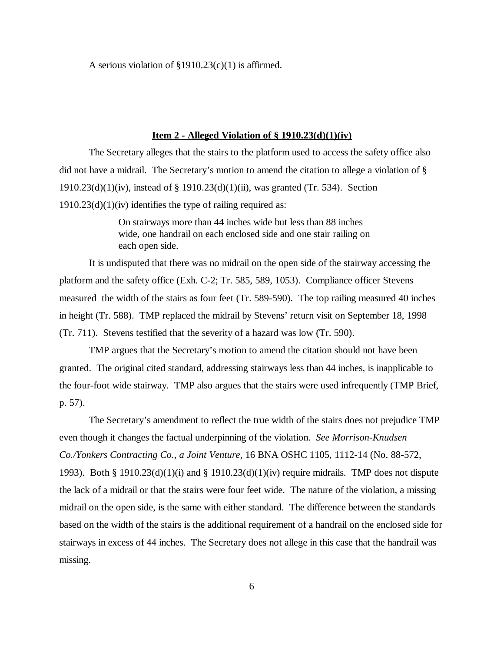A serious violation of  $\S 1910.23(c)(1)$  is affirmed.

## **Item 2 - Alleged Violation of § 1910.23(d)(1)(iv)**

The Secretary alleges that the stairs to the platform used to access the safety office also did not have a midrail. The Secretary's motion to amend the citation to allege a violation of § 1910.23(d)(1)(iv), instead of § 1910.23(d)(1)(ii), was granted (Tr. 534). Section  $1910.23(d)(1)(iv)$  identifies the type of railing required as:

> On stairways more than 44 inches wide but less than 88 inches wide, one handrail on each enclosed side and one stair railing on each open side.

It is undisputed that there was no midrail on the open side of the stairway accessing the platform and the safety office (Exh. C-2; Tr. 585, 589, 1053). Compliance officer Stevens measured the width of the stairs as four feet (Tr. 589-590). The top railing measured 40 inches in height (Tr. 588). TMP replaced the midrail by Stevens' return visit on September 18, 1998 (Tr. 711). Stevens testified that the severity of a hazard was low (Tr. 590).

TMP argues that the Secretary's motion to amend the citation should not have been granted. The original cited standard, addressing stairways less than 44 inches, is inapplicable to the four-foot wide stairway. TMP also argues that the stairs were used infrequently (TMP Brief, p. 57).

The Secretary's amendment to reflect the true width of the stairs does not prejudice TMP even though it changes the factual underpinning of the violation. *See Morrison-Knudsen Co./Yonkers Contracting Co., a Joint Venture,* 16 BNA OSHC 1105, 1112-14 (No. 88-572, 1993). Both § 1910.23(d)(1)(i) and § 1910.23(d)(1)(iv) require midrails. TMP does not dispute the lack of a midrail or that the stairs were four feet wide. The nature of the violation, a missing midrail on the open side, is the same with either standard. The difference between the standards based on the width of the stairs is the additional requirement of a handrail on the enclosed side for stairways in excess of 44 inches. The Secretary does not allege in this case that the handrail was missing.

6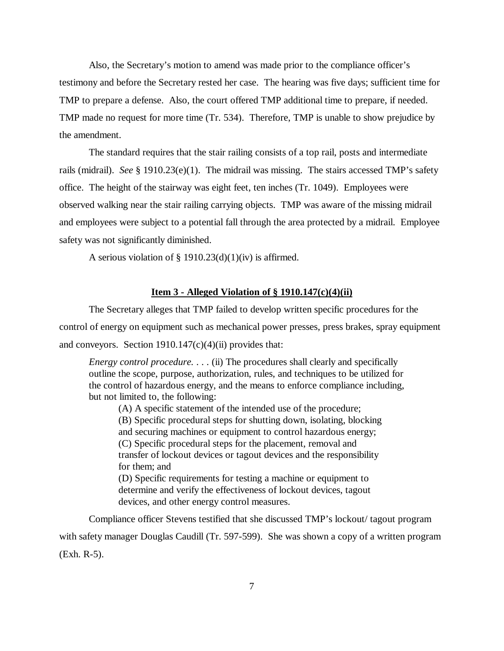Also, the Secretary's motion to amend was made prior to the compliance officer's testimony and before the Secretary rested her case. The hearing was five days; sufficient time for TMP to prepare a defense. Also, the court offered TMP additional time to prepare, if needed. TMP made no request for more time (Tr. 534). Therefore, TMP is unable to show prejudice by the amendment.

The standard requires that the stair railing consists of a top rail, posts and intermediate rails (midrail). *See* § 1910.23(e)(1). The midrail was missing. The stairs accessed TMP's safety office. The height of the stairway was eight feet, ten inches (Tr. 1049). Employees were observed walking near the stair railing carrying objects. TMP was aware of the missing midrail and employees were subject to a potential fall through the area protected by a midrail. Employee safety was not significantly diminished.

A serious violation of § 1910.23 $(d)(1)(iv)$  is affirmed.

## **Item 3 - Alleged Violation of § 1910.147(c)(4)(ii)**

The Secretary alleges that TMP failed to develop written specific procedures for the control of energy on equipment such as mechanical power presses, press brakes, spray equipment and conveyors. Section  $1910.147(c)(4)$ (ii) provides that:

*Energy control procedure.* . . . (ii) The procedures shall clearly and specifically outline the scope, purpose, authorization, rules, and techniques to be utilized for the control of hazardous energy, and the means to enforce compliance including, but not limited to, the following:

(A) A specific statement of the intended use of the procedure; (B) Specific procedural steps for shutting down, isolating, blocking and securing machines or equipment to control hazardous energy; (C) Specific procedural steps for the placement, removal and transfer of lockout devices or tagout devices and the responsibility for them; and (D) Specific requirements for testing a machine or equipment to determine and verify the effectiveness of lockout devices, tagout devices, and other energy control measures.

Compliance officer Stevens testified that she discussed TMP's lockout/ tagout program with safety manager Douglas Caudill (Tr. 597-599). She was shown a copy of a written program (Exh. R-5).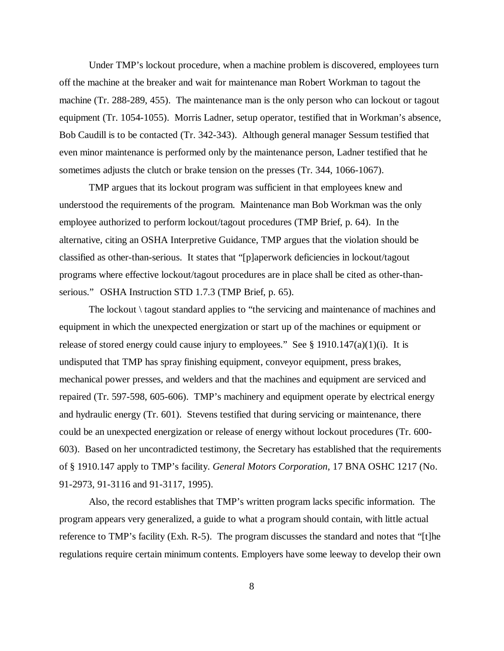Under TMP's lockout procedure, when a machine problem is discovered, employees turn off the machine at the breaker and wait for maintenance man Robert Workman to tagout the machine (Tr. 288-289, 455). The maintenance man is the only person who can lockout or tagout equipment (Tr. 1054-1055). Morris Ladner, setup operator, testified that in Workman's absence, Bob Caudill is to be contacted (Tr. 342-343). Although general manager Sessum testified that even minor maintenance is performed only by the maintenance person, Ladner testified that he sometimes adjusts the clutch or brake tension on the presses (Tr. 344, 1066-1067).

TMP argues that its lockout program was sufficient in that employees knew and understood the requirements of the program. Maintenance man Bob Workman was the only employee authorized to perform lockout/tagout procedures (TMP Brief, p. 64). In the alternative, citing an OSHA Interpretive Guidance, TMP argues that the violation should be classified as other-than-serious. It states that "[p]aperwork deficiencies in lockout/tagout programs where effective lockout/tagout procedures are in place shall be cited as other-thanserious." OSHA Instruction STD 1.7.3 (TMP Brief, p. 65).

The lockout \ tagout standard applies to "the servicing and maintenance of machines and equipment in which the unexpected energization or start up of the machines or equipment or release of stored energy could cause injury to employees." See § 1910.147(a)(1)(i). It is undisputed that TMP has spray finishing equipment, conveyor equipment, press brakes, mechanical power presses, and welders and that the machines and equipment are serviced and repaired (Tr. 597-598, 605-606). TMP's machinery and equipment operate by electrical energy and hydraulic energy (Tr. 601). Stevens testified that during servicing or maintenance, there could be an unexpected energization or release of energy without lockout procedures (Tr. 600- 603). Based on her uncontradicted testimony, the Secretary has established that the requirements of § 1910.147 apply to TMP's facility. *General Motors Corporation,* 17 BNA OSHC 1217 (No. 91-2973, 91-3116 and 91-3117, 1995).

Also, the record establishes that TMP's written program lacks specific information. The program appears very generalized, a guide to what a program should contain, with little actual reference to TMP's facility (Exh. R-5). The program discusses the standard and notes that "[t]he regulations require certain minimum contents. Employers have some leeway to develop their own

8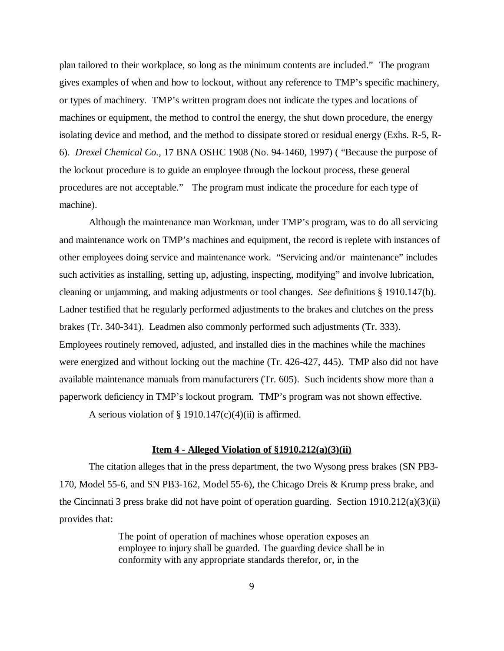plan tailored to their workplace, so long as the minimum contents are included." The program gives examples of when and how to lockout, without any reference to TMP's specific machinery, or types of machinery. TMP's written program does not indicate the types and locations of machines or equipment, the method to control the energy, the shut down procedure, the energy isolating device and method, and the method to dissipate stored or residual energy (Exhs. R-5, R-6). *Drexel Chemical Co.,* 17 BNA OSHC 1908 (No. 94-1460, 1997) ( "Because the purpose of the lockout procedure is to guide an employee through the lockout process, these general procedures are not acceptable." The program must indicate the procedure for each type of machine).

Although the maintenance man Workman, under TMP's program, was to do all servicing and maintenance work on TMP's machines and equipment, the record is replete with instances of other employees doing service and maintenance work. "Servicing and/or maintenance" includes such activities as installing, setting up, adjusting, inspecting, modifying" and involve lubrication, cleaning or unjamming, and making adjustments or tool changes. *See* definitions § 1910.147(b). Ladner testified that he regularly performed adjustments to the brakes and clutches on the press brakes (Tr. 340-341). Leadmen also commonly performed such adjustments (Tr. 333). Employees routinely removed, adjusted, and installed dies in the machines while the machines were energized and without locking out the machine (Tr. 426-427, 445). TMP also did not have available maintenance manuals from manufacturers (Tr. 605). Such incidents show more than a paperwork deficiency in TMP's lockout program. TMP's program was not shown effective.

A serious violation of  $\S$  1910.147(c)(4)(ii) is affirmed.

#### **Item 4 - Alleged Violation of §1910.212(a)(3)(ii)**

The citation alleges that in the press department, the two Wysong press brakes (SN PB3- 170, Model 55-6, and SN PB3-162, Model 55-6), the Chicago Dreis & Krump press brake, and the Cincinnati 3 press brake did not have point of operation guarding. Section 1910.212(a)(3)(ii) provides that:

> The point of operation of machines whose operation exposes an employee to injury shall be guarded. The guarding device shall be in conformity with any appropriate standards therefor, or, in the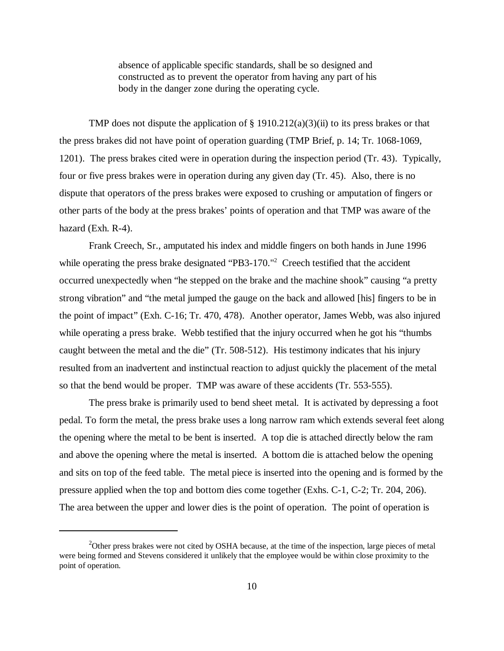absence of applicable specific standards, shall be so designed and constructed as to prevent the operator from having any part of his body in the danger zone during the operating cycle.

TMP does not dispute the application of  $\S$  1910.212(a)(3)(ii) to its press brakes or that the press brakes did not have point of operation guarding (TMP Brief, p. 14; Tr. 1068-1069, 1201). The press brakes cited were in operation during the inspection period (Tr. 43). Typically, four or five press brakes were in operation during any given day (Tr. 45). Also, there is no dispute that operators of the press brakes were exposed to crushing or amputation of fingers or other parts of the body at the press brakes' points of operation and that TMP was aware of the hazard (Exh. R-4).

Frank Creech, Sr., amputated his index and middle fingers on both hands in June 1996 while operating the press brake designated "PB3-170."<sup>2</sup> Creech testified that the accident occurred unexpectedly when "he stepped on the brake and the machine shook" causing "a pretty strong vibration" and "the metal jumped the gauge on the back and allowed [his] fingers to be in the point of impact" (Exh. C-16; Tr. 470, 478). Another operator, James Webb, was also injured while operating a press brake. Webb testified that the injury occurred when he got his "thumbs" caught between the metal and the die" (Tr. 508-512). His testimony indicates that his injury resulted from an inadvertent and instinctual reaction to adjust quickly the placement of the metal so that the bend would be proper. TMP was aware of these accidents (Tr. 553-555).

The press brake is primarily used to bend sheet metal. It is activated by depressing a foot pedal. To form the metal, the press brake uses a long narrow ram which extends several feet along the opening where the metal to be bent is inserted. A top die is attached directly below the ram and above the opening where the metal is inserted. A bottom die is attached below the opening and sits on top of the feed table. The metal piece is inserted into the opening and is formed by the pressure applied when the top and bottom dies come together (Exhs. C-1, C-2; Tr. 204, 206). The area between the upper and lower dies is the point of operation. The point of operation is

 $2^2$ Other press brakes were not cited by OSHA because, at the time of the inspection, large pieces of metal were being formed and Stevens considered it unlikely that the employee would be within close proximity to the point of operation.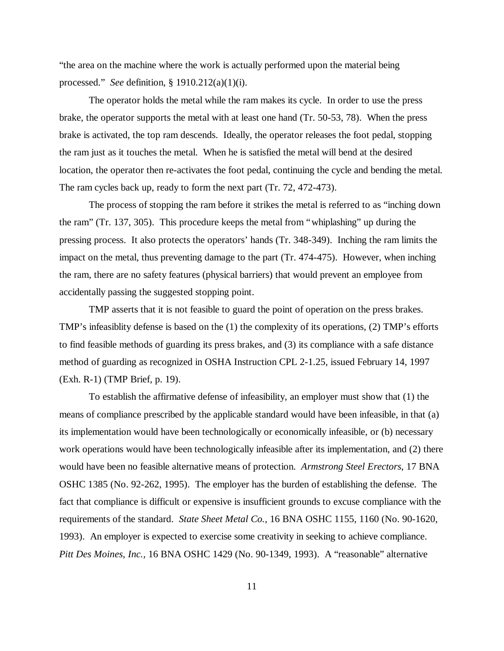"the area on the machine where the work is actually performed upon the material being processed." *See* definition, § 1910.212(a)(1)(i).

The operator holds the metal while the ram makes its cycle. In order to use the press brake, the operator supports the metal with at least one hand (Tr. 50-53, 78). When the press brake is activated, the top ram descends. Ideally, the operator releases the foot pedal, stopping the ram just as it touches the metal. When he is satisfied the metal will bend at the desired location, the operator then re-activates the foot pedal, continuing the cycle and bending the metal. The ram cycles back up, ready to form the next part (Tr. 72, 472-473).

The process of stopping the ram before it strikes the metal is referred to as "inching down the ram" (Tr. 137, 305). This procedure keeps the metal from "whiplashing" up during the pressing process. It also protects the operators' hands (Tr. 348-349). Inching the ram limits the impact on the metal, thus preventing damage to the part (Tr. 474-475). However, when inching the ram, there are no safety features (physical barriers) that would prevent an employee from accidentally passing the suggested stopping point.

TMP asserts that it is not feasible to guard the point of operation on the press brakes. TMP's infeasiblity defense is based on the (1) the complexity of its operations, (2) TMP's efforts to find feasible methods of guarding its press brakes, and (3) its compliance with a safe distance method of guarding as recognized in OSHA Instruction CPL 2-1.25, issued February 14, 1997 (Exh. R-1) (TMP Brief, p. 19).

To establish the affirmative defense of infeasibility, an employer must show that (1) the means of compliance prescribed by the applicable standard would have been infeasible, in that (a) its implementation would have been technologically or economically infeasible, or (b) necessary work operations would have been technologically infeasible after its implementation, and (2) there would have been no feasible alternative means of protection. *Armstrong Steel Erectors*, 17 BNA OSHC 1385 (No. 92-262, 1995). The employer has the burden of establishing the defense. The fact that compliance is difficult or expensive is insufficient grounds to excuse compliance with the requirements of the standard. *State Sheet Metal Co.,* 16 BNA OSHC 1155, 1160 (No. 90-1620, 1993). An employer is expected to exercise some creativity in seeking to achieve compliance. *Pitt Des Moines, Inc.,* 16 BNA OSHC 1429 (No. 90-1349, 1993). A "reasonable" alternative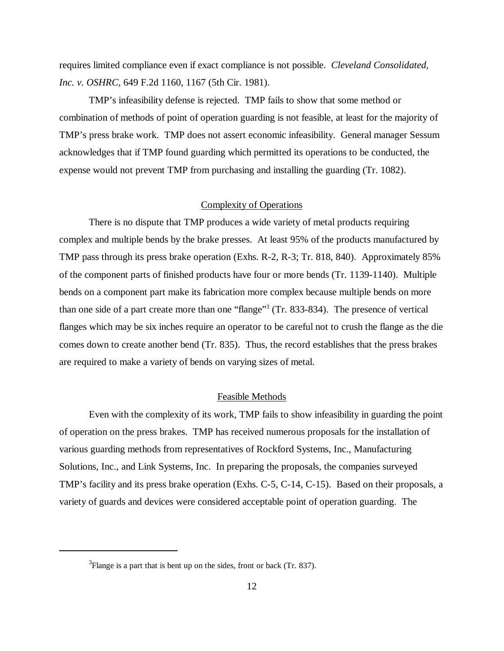requires limited compliance even if exact compliance is not possible. *Cleveland Consolidated, Inc. v. OSHRC*, 649 F.2d 1160, 1167 (5th Cir. 1981).

TMP's infeasibility defense is rejected. TMP fails to show that some method or combination of methods of point of operation guarding is not feasible, at least for the majority of TMP's press brake work. TMP does not assert economic infeasibility. General manager Sessum acknowledges that if TMP found guarding which permitted its operations to be conducted, the expense would not prevent TMP from purchasing and installing the guarding (Tr. 1082).

# Complexity of Operations

There is no dispute that TMP produces a wide variety of metal products requiring complex and multiple bends by the brake presses. At least 95% of the products manufactured by TMP pass through its press brake operation (Exhs. R-2, R-3; Tr. 818, 840). Approximately 85% of the component parts of finished products have four or more bends (Tr. 1139-1140). Multiple bends on a component part make its fabrication more complex because multiple bends on more than one side of a part create more than one "flange"<sup>3</sup> (Tr. 833-834). The presence of vertical flanges which may be six inches require an operator to be careful not to crush the flange as the die comes down to create another bend (Tr. 835). Thus, the record establishes that the press brakes are required to make a variety of bends on varying sizes of metal.

#### Feasible Methods

Even with the complexity of its work, TMP fails to show infeasibility in guarding the point of operation on the press brakes. TMP has received numerous proposals for the installation of various guarding methods from representatives of Rockford Systems, Inc., Manufacturing Solutions, Inc., and Link Systems, Inc. In preparing the proposals, the companies surveyed TMP's facility and its press brake operation (Exhs. C-5, C-14, C-15). Based on their proposals, a variety of guards and devices were considered acceptable point of operation guarding. The

 $3$ Flange is a part that is bent up on the sides, front or back (Tr. 837).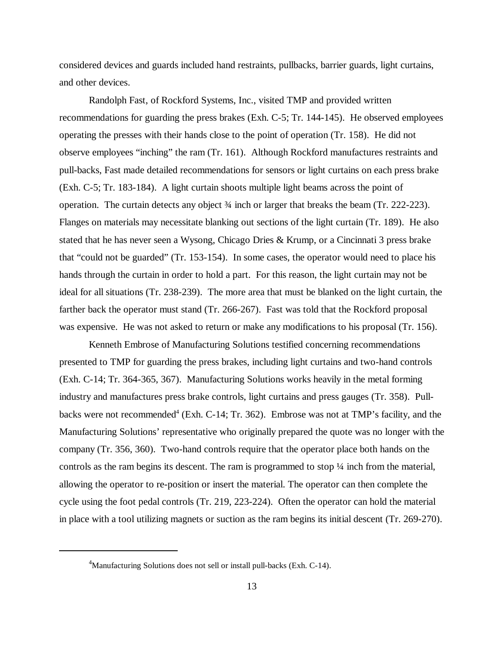considered devices and guards included hand restraints, pullbacks, barrier guards, light curtains, and other devices.

Randolph Fast, of Rockford Systems, Inc., visited TMP and provided written recommendations for guarding the press brakes (Exh. C-5; Tr. 144-145). He observed employees operating the presses with their hands close to the point of operation (Tr. 158). He did not observe employees "inching" the ram (Tr. 161). Although Rockford manufactures restraints and pull-backs, Fast made detailed recommendations for sensors or light curtains on each press brake (Exh. C-5; Tr. 183-184). A light curtain shoots multiple light beams across the point of operation. The curtain detects any object ¾ inch or larger that breaks the beam (Tr. 222-223). Flanges on materials may necessitate blanking out sections of the light curtain (Tr. 189). He also stated that he has never seen a Wysong, Chicago Dries & Krump, or a Cincinnati 3 press brake that "could not be guarded" (Tr. 153-154). In some cases, the operator would need to place his hands through the curtain in order to hold a part. For this reason, the light curtain may not be ideal for all situations (Tr. 238-239). The more area that must be blanked on the light curtain, the farther back the operator must stand (Tr. 266-267). Fast was told that the Rockford proposal was expensive. He was not asked to return or make any modifications to his proposal (Tr. 156).

Kenneth Embrose of Manufacturing Solutions testified concerning recommendations presented to TMP for guarding the press brakes, including light curtains and two-hand controls (Exh. C-14; Tr. 364-365, 367). Manufacturing Solutions works heavily in the metal forming industry and manufactures press brake controls, light curtains and press gauges (Tr. 358). Pullbacks were not recommended<sup>4</sup> (Exh. C-14; Tr. 362). Embrose was not at TMP's facility, and the Manufacturing Solutions' representative who originally prepared the quote was no longer with the company (Tr. 356, 360). Two-hand controls require that the operator place both hands on the controls as the ram begins its descent. The ram is programmed to stop ¼ inch from the material, allowing the operator to re-position or insert the material. The operator can then complete the cycle using the foot pedal controls (Tr. 219, 223-224). Often the operator can hold the material in place with a tool utilizing magnets or suction as the ram begins its initial descent (Tr. 269-270).

<sup>&</sup>lt;sup>4</sup>Manufacturing Solutions does not sell or install pull-backs (Exh. C-14).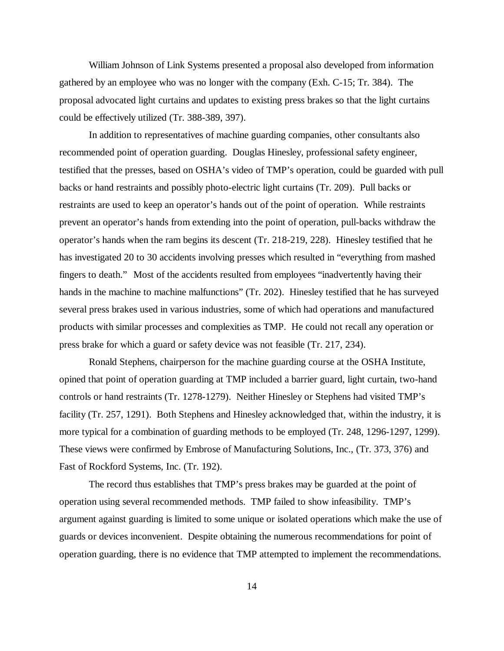William Johnson of Link Systems presented a proposal also developed from information gathered by an employee who was no longer with the company (Exh. C-15; Tr. 384). The proposal advocated light curtains and updates to existing press brakes so that the light curtains could be effectively utilized (Tr. 388-389, 397).

In addition to representatives of machine guarding companies, other consultants also recommended point of operation guarding. Douglas Hinesley, professional safety engineer, testified that the presses, based on OSHA's video of TMP's operation, could be guarded with pull backs or hand restraints and possibly photo-electric light curtains (Tr. 209). Pull backs or restraints are used to keep an operator's hands out of the point of operation. While restraints prevent an operator's hands from extending into the point of operation, pull-backs withdraw the operator's hands when the ram begins its descent (Tr. 218-219, 228). Hinesley testified that he has investigated 20 to 30 accidents involving presses which resulted in "everything from mashed fingers to death." Most of the accidents resulted from employees "inadvertently having their hands in the machine to machine malfunctions" (Tr. 202). Hinesley testified that he has surveyed several press brakes used in various industries, some of which had operations and manufactured products with similar processes and complexities as TMP. He could not recall any operation or press brake for which a guard or safety device was not feasible (Tr. 217, 234).

Ronald Stephens, chairperson for the machine guarding course at the OSHA Institute, opined that point of operation guarding at TMP included a barrier guard, light curtain, two-hand controls or hand restraints (Tr. 1278-1279). Neither Hinesley or Stephens had visited TMP's facility (Tr. 257, 1291). Both Stephens and Hinesley acknowledged that, within the industry, it is more typical for a combination of guarding methods to be employed (Tr. 248, 1296-1297, 1299). These views were confirmed by Embrose of Manufacturing Solutions, Inc., (Tr. 373, 376) and Fast of Rockford Systems, Inc. (Tr. 192).

The record thus establishes that TMP's press brakes may be guarded at the point of operation using several recommended methods. TMP failed to show infeasibility. TMP's argument against guarding is limited to some unique or isolated operations which make the use of guards or devices inconvenient. Despite obtaining the numerous recommendations for point of operation guarding, there is no evidence that TMP attempted to implement the recommendations.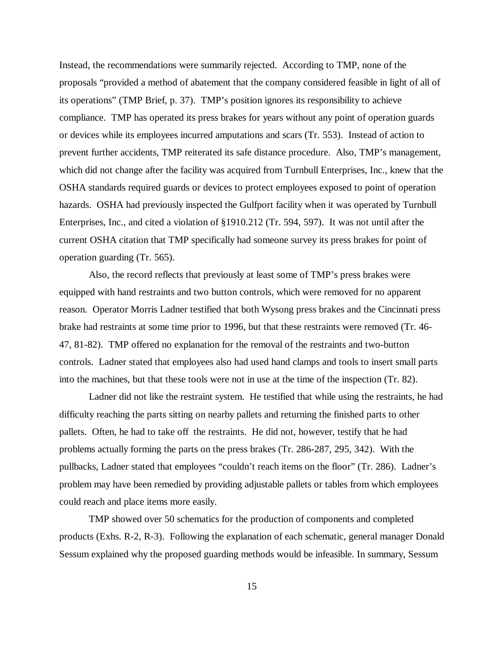Instead, the recommendations were summarily rejected. According to TMP, none of the proposals "provided a method of abatement that the company considered feasible in light of all of its operations" (TMP Brief, p. 37). TMP's position ignores its responsibility to achieve compliance. TMP has operated its press brakes for years without any point of operation guards or devices while its employees incurred amputations and scars (Tr. 553). Instead of action to prevent further accidents, TMP reiterated its safe distance procedure. Also, TMP's management, which did not change after the facility was acquired from Turnbull Enterprises, Inc., knew that the OSHA standards required guards or devices to protect employees exposed to point of operation hazards. OSHA had previously inspected the Gulfport facility when it was operated by Turnbull Enterprises, Inc., and cited a violation of §1910.212 (Tr. 594, 597). It was not until after the current OSHA citation that TMP specifically had someone survey its press brakes for point of operation guarding (Tr. 565).

Also, the record reflects that previously at least some of TMP's press brakes were equipped with hand restraints and two button controls, which were removed for no apparent reason. Operator Morris Ladner testified that both Wysong press brakes and the Cincinnati press brake had restraints at some time prior to 1996, but that these restraints were removed (Tr. 46- 47, 81-82). TMP offered no explanation for the removal of the restraints and two-button controls. Ladner stated that employees also had used hand clamps and tools to insert small parts into the machines, but that these tools were not in use at the time of the inspection (Tr. 82).

Ladner did not like the restraint system. He testified that while using the restraints, he had difficulty reaching the parts sitting on nearby pallets and returning the finished parts to other pallets. Often, he had to take off the restraints. He did not, however, testify that he had problems actually forming the parts on the press brakes (Tr. 286-287, 295, 342). With the pullbacks, Ladner stated that employees "couldn't reach items on the floor" (Tr. 286). Ladner's problem may have been remedied by providing adjustable pallets or tables from which employees could reach and place items more easily.

TMP showed over 50 schematics for the production of components and completed products (Exhs. R-2, R-3). Following the explanation of each schematic, general manager Donald Sessum explained why the proposed guarding methods would be infeasible. In summary, Sessum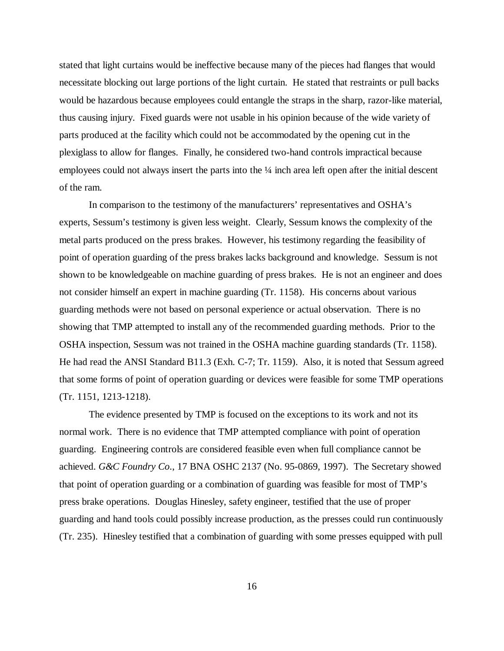stated that light curtains would be ineffective because many of the pieces had flanges that would necessitate blocking out large portions of the light curtain. He stated that restraints or pull backs would be hazardous because employees could entangle the straps in the sharp, razor-like material, thus causing injury. Fixed guards were not usable in his opinion because of the wide variety of parts produced at the facility which could not be accommodated by the opening cut in the plexiglass to allow for flanges. Finally, he considered two-hand controls impractical because employees could not always insert the parts into the  $\frac{1}{4}$  inch area left open after the initial descent of the ram.

In comparison to the testimony of the manufacturers' representatives and OSHA's experts, Sessum's testimony is given less weight. Clearly, Sessum knows the complexity of the metal parts produced on the press brakes. However, his testimony regarding the feasibility of point of operation guarding of the press brakes lacks background and knowledge. Sessum is not shown to be knowledgeable on machine guarding of press brakes. He is not an engineer and does not consider himself an expert in machine guarding (Tr. 1158). His concerns about various guarding methods were not based on personal experience or actual observation. There is no showing that TMP attempted to install any of the recommended guarding methods. Prior to the OSHA inspection, Sessum was not trained in the OSHA machine guarding standards (Tr. 1158). He had read the ANSI Standard B11.3 (Exh. C-7; Tr. 1159). Also, it is noted that Sessum agreed that some forms of point of operation guarding or devices were feasible for some TMP operations (Tr. 1151, 1213-1218).

The evidence presented by TMP is focused on the exceptions to its work and not its normal work. There is no evidence that TMP attempted compliance with point of operation guarding. Engineering controls are considered feasible even when full compliance cannot be achieved. *G&C Foundry Co*., 17 BNA OSHC 2137 (No. 95-0869, 1997). The Secretary showed that point of operation guarding or a combination of guarding was feasible for most of TMP's press brake operations. Douglas Hinesley, safety engineer, testified that the use of proper guarding and hand tools could possibly increase production, as the presses could run continuously (Tr. 235). Hinesley testified that a combination of guarding with some presses equipped with pull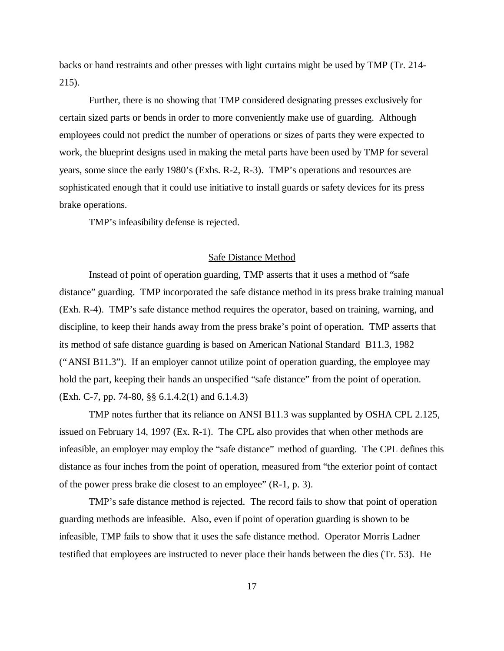backs or hand restraints and other presses with light curtains might be used by TMP (Tr. 214- 215).

Further, there is no showing that TMP considered designating presses exclusively for certain sized parts or bends in order to more conveniently make use of guarding. Although employees could not predict the number of operations or sizes of parts they were expected to work, the blueprint designs used in making the metal parts have been used by TMP for several years, some since the early 1980's (Exhs. R-2, R-3). TMP's operations and resources are sophisticated enough that it could use initiative to install guards or safety devices for its press brake operations.

TMP's infeasibility defense is rejected.

# Safe Distance Method

Instead of point of operation guarding, TMP asserts that it uses a method of "safe distance" guarding. TMP incorporated the safe distance method in its press brake training manual (Exh. R-4). TMP's safe distance method requires the operator, based on training, warning, and discipline, to keep their hands away from the press brake's point of operation. TMP asserts that its method of safe distance guarding is based on American National Standard B11.3, 1982 ("ANSI B11.3"). If an employer cannot utilize point of operation guarding, the employee may hold the part, keeping their hands an unspecified "safe distance" from the point of operation. (Exh. C-7, pp. 74-80, §§ 6.1.4.2(1) and 6.1.4.3)

TMP notes further that its reliance on ANSI B11.3 was supplanted by OSHA CPL 2.125, issued on February 14, 1997 (Ex. R-1). The CPL also provides that when other methods are infeasible, an employer may employ the "safe distance" method of guarding. The CPL defines this distance as four inches from the point of operation, measured from "the exterior point of contact of the power press brake die closest to an employee" (R-1, p. 3).

TMP's safe distance method is rejected. The record fails to show that point of operation guarding methods are infeasible. Also, even if point of operation guarding is shown to be infeasible, TMP fails to show that it uses the safe distance method. Operator Morris Ladner testified that employees are instructed to never place their hands between the dies (Tr. 53). He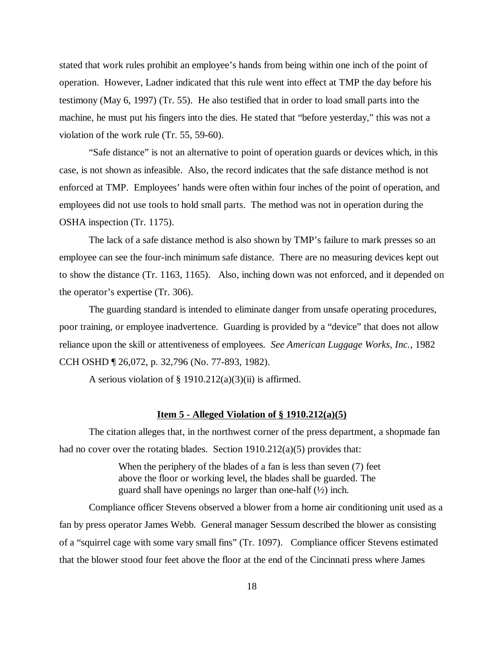stated that work rules prohibit an employee's hands from being within one inch of the point of operation. However, Ladner indicated that this rule went into effect at TMP the day before his testimony (May 6, 1997) (Tr. 55). He also testified that in order to load small parts into the machine, he must put his fingers into the dies. He stated that "before yesterday," this was not a violation of the work rule (Tr. 55, 59-60).

"Safe distance" is not an alternative to point of operation guards or devices which, in this case, is not shown as infeasible. Also, the record indicates that the safe distance method is not enforced at TMP. Employees' hands were often within four inches of the point of operation, and employees did not use tools to hold small parts. The method was not in operation during the OSHA inspection (Tr. 1175).

The lack of a safe distance method is also shown by TMP's failure to mark presses so an employee can see the four-inch minimum safe distance. There are no measuring devices kept out to show the distance (Tr. 1163, 1165). Also, inching down was not enforced, and it depended on the operator's expertise (Tr. 306).

The guarding standard is intended to eliminate danger from unsafe operating procedures, poor training, or employee inadvertence. Guarding is provided by a "device" that does not allow reliance upon the skill or attentiveness of employees. *See American Luggage Works, Inc.*, 1982 CCH OSHD ¶ 26,072, p. 32,796 (No. 77-893, 1982).

A serious violation of § 1910.212(a)(3)(ii) is affirmed.

#### **Item 5 - Alleged Violation of § 1910.212(a)(5)**

The citation alleges that, in the northwest corner of the press department, a shopmade fan had no cover over the rotating blades. Section 1910.212(a)(5) provides that:

> When the periphery of the blades of a fan is less than seven (7) feet above the floor or working level, the blades shall be guarded. The guard shall have openings no larger than one-half (½) inch.

Compliance officer Stevens observed a blower from a home air conditioning unit used as a fan by press operator James Webb. General manager Sessum described the blower as consisting of a "squirrel cage with some vary small fins" (Tr. 1097). Compliance officer Stevens estimated that the blower stood four feet above the floor at the end of the Cincinnati press where James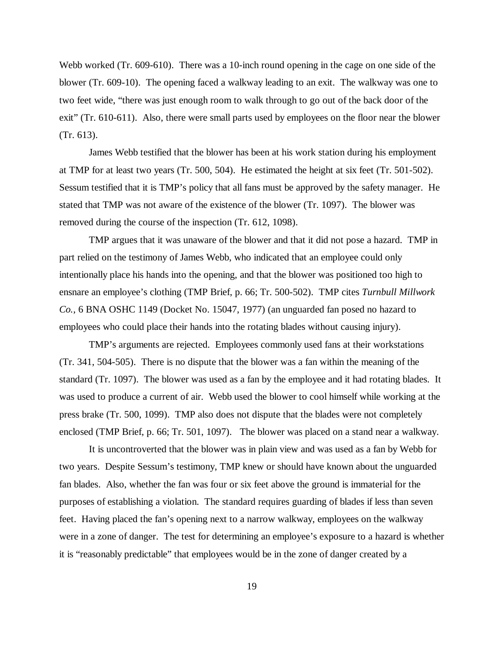Webb worked (Tr. 609-610). There was a 10-inch round opening in the cage on one side of the blower (Tr. 609-10). The opening faced a walkway leading to an exit. The walkway was one to two feet wide, "there was just enough room to walk through to go out of the back door of the exit" (Tr. 610-611). Also, there were small parts used by employees on the floor near the blower (Tr. 613).

James Webb testified that the blower has been at his work station during his employment at TMP for at least two years (Tr. 500, 504). He estimated the height at six feet (Tr. 501-502). Sessum testified that it is TMP's policy that all fans must be approved by the safety manager. He stated that TMP was not aware of the existence of the blower (Tr. 1097). The blower was removed during the course of the inspection (Tr. 612, 1098).

TMP argues that it was unaware of the blower and that it did not pose a hazard. TMP in part relied on the testimony of James Webb, who indicated that an employee could only intentionally place his hands into the opening, and that the blower was positioned too high to ensnare an employee's clothing (TMP Brief, p. 66; Tr. 500-502). TMP cites *Turnbull Millwork Co.*, 6 BNA OSHC 1149 (Docket No. 15047, 1977) (an unguarded fan posed no hazard to employees who could place their hands into the rotating blades without causing injury).

TMP's arguments are rejected. Employees commonly used fans at their workstations (Tr. 341, 504-505). There is no dispute that the blower was a fan within the meaning of the standard (Tr. 1097). The blower was used as a fan by the employee and it had rotating blades. It was used to produce a current of air. Webb used the blower to cool himself while working at the press brake (Tr. 500, 1099). TMP also does not dispute that the blades were not completely enclosed (TMP Brief, p. 66; Tr. 501, 1097). The blower was placed on a stand near a walkway.

It is uncontroverted that the blower was in plain view and was used as a fan by Webb for two years. Despite Sessum's testimony, TMP knew or should have known about the unguarded fan blades. Also, whether the fan was four or six feet above the ground is immaterial for the purposes of establishing a violation. The standard requires guarding of blades if less than seven feet. Having placed the fan's opening next to a narrow walkway, employees on the walkway were in a zone of danger. The test for determining an employee's exposure to a hazard is whether it is "reasonably predictable" that employees would be in the zone of danger created by a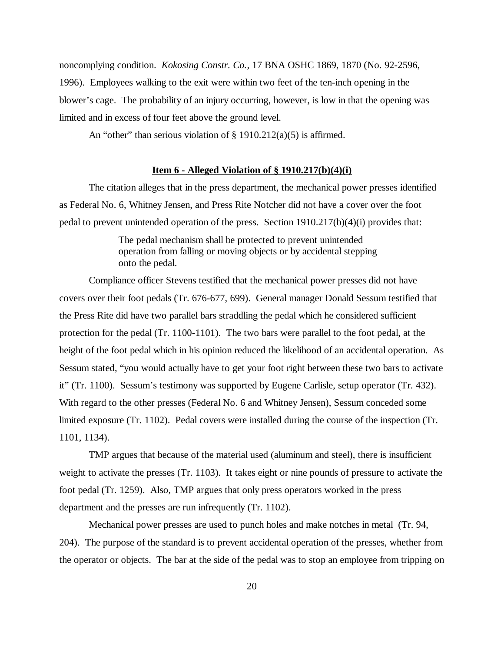noncomplying condition. *Kokosing Constr. Co.,* 17 BNA OSHC 1869, 1870 (No. 92-2596, 1996). Employees walking to the exit were within two feet of the ten-inch opening in the blower's cage. The probability of an injury occurring, however, is low in that the opening was limited and in excess of four feet above the ground level.

An "other" than serious violation of  $\S$  1910.212(a)(5) is affirmed.

### **Item 6 - Alleged Violation of § 1910.217(b)(4)(i)**

The citation alleges that in the press department, the mechanical power presses identified as Federal No. 6, Whitney Jensen, and Press Rite Notcher did not have a cover over the foot pedal to prevent unintended operation of the press. Section 1910.217(b)(4)(i) provides that:

> The pedal mechanism shall be protected to prevent unintended operation from falling or moving objects or by accidental stepping onto the pedal.

Compliance officer Stevens testified that the mechanical power presses did not have covers over their foot pedals (Tr. 676-677, 699). General manager Donald Sessum testified that the Press Rite did have two parallel bars straddling the pedal which he considered sufficient protection for the pedal (Tr. 1100-1101). The two bars were parallel to the foot pedal, at the height of the foot pedal which in his opinion reduced the likelihood of an accidental operation. As Sessum stated, "you would actually have to get your foot right between these two bars to activate it" (Tr. 1100). Sessum's testimony was supported by Eugene Carlisle, setup operator (Tr. 432). With regard to the other presses (Federal No. 6 and Whitney Jensen), Sessum conceded some limited exposure (Tr. 1102). Pedal covers were installed during the course of the inspection (Tr. 1101, 1134).

TMP argues that because of the material used (aluminum and steel), there is insufficient weight to activate the presses (Tr. 1103). It takes eight or nine pounds of pressure to activate the foot pedal (Tr. 1259). Also, TMP argues that only press operators worked in the press department and the presses are run infrequently (Tr. 1102).

Mechanical power presses are used to punch holes and make notches in metal (Tr. 94, 204). The purpose of the standard is to prevent accidental operation of the presses, whether from the operator or objects. The bar at the side of the pedal was to stop an employee from tripping on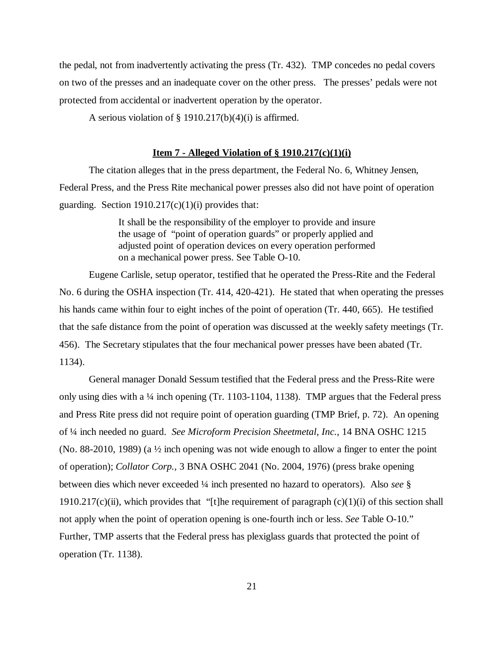the pedal, not from inadvertently activating the press (Tr. 432). TMP concedes no pedal covers on two of the presses and an inadequate cover on the other press. The presses' pedals were not protected from accidental or inadvertent operation by the operator.

A serious violation of  $\S$  1910.217(b)(4)(i) is affirmed.

#### **Item 7 - Alleged Violation of § 1910.217(c)(1)(i)**

The citation alleges that in the press department, the Federal No. 6, Whitney Jensen, Federal Press, and the Press Rite mechanical power presses also did not have point of operation guarding. Section  $1910.217(c)(1)(i)$  provides that:

> It shall be the responsibility of the employer to provide and insure the usage of "point of operation guards" or properly applied and adjusted point of operation devices on every operation performed on a mechanical power press. See Table O-10.

Eugene Carlisle, setup operator, testified that he operated the Press-Rite and the Federal No. 6 during the OSHA inspection (Tr. 414, 420-421). He stated that when operating the presses his hands came within four to eight inches of the point of operation (Tr. 440, 665). He testified that the safe distance from the point of operation was discussed at the weekly safety meetings (Tr. 456). The Secretary stipulates that the four mechanical power presses have been abated (Tr. 1134).

General manager Donald Sessum testified that the Federal press and the Press-Rite were only using dies with a  $\frac{1}{4}$  inch opening (Tr. 1103-1104, 1138). TMP argues that the Federal press and Press Rite press did not require point of operation guarding (TMP Brief, p. 72). An opening of ¼ inch needed no guard. *See Microform Precision Sheetmetal, Inc.*, 14 BNA OSHC 1215 (No. 88-2010, 1989) (a  $\frac{1}{2}$  inch opening was not wide enough to allow a finger to enter the point of operation); *Collator Corp.,* 3 BNA OSHC 2041 (No. 2004, 1976) (press brake opening between dies which never exceeded ¼ inch presented no hazard to operators). Also *see* § 1910.217(c)(ii), which provides that "[t]he requirement of paragraph  $(c)(1)(i)$  of this section shall not apply when the point of operation opening is one-fourth inch or less. *See* Table O-10." Further, TMP asserts that the Federal press has plexiglass guards that protected the point of operation (Tr. 1138).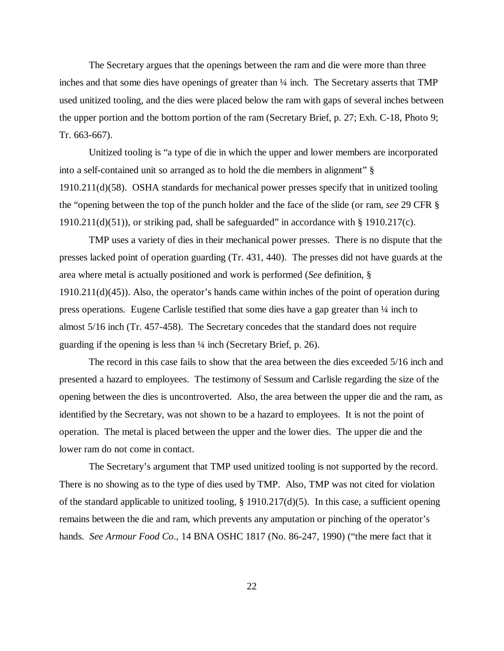The Secretary argues that the openings between the ram and die were more than three inches and that some dies have openings of greater than  $\frac{1}{4}$  inch. The Secretary asserts that TMP used unitized tooling, and the dies were placed below the ram with gaps of several inches between the upper portion and the bottom portion of the ram (Secretary Brief, p. 27; Exh. C-18, Photo 9; Tr. 663-667).

Unitized tooling is "a type of die in which the upper and lower members are incorporated into a self-contained unit so arranged as to hold the die members in alignment" § 1910.211(d)(58). OSHA standards for mechanical power presses specify that in unitized tooling the "opening between the top of the punch holder and the face of the slide (or ram, *see* 29 CFR § 1910.211(d)(51)), or striking pad, shall be safeguarded" in accordance with  $\S$  1910.217(c).

TMP uses a variety of dies in their mechanical power presses. There is no dispute that the presses lacked point of operation guarding (Tr. 431, 440). The presses did not have guards at the area where metal is actually positioned and work is performed (*See* definition, § 1910.211(d)(45)). Also, the operator's hands came within inches of the point of operation during press operations. Eugene Carlisle testified that some dies have a gap greater than ¼ inch to almost 5/16 inch (Tr. 457-458). The Secretary concedes that the standard does not require guarding if the opening is less than ¼ inch (Secretary Brief, p. 26).

The record in this case fails to show that the area between the dies exceeded 5/16 inch and presented a hazard to employees. The testimony of Sessum and Carlisle regarding the size of the opening between the dies is uncontroverted. Also, the area between the upper die and the ram, as identified by the Secretary, was not shown to be a hazard to employees. It is not the point of operation. The metal is placed between the upper and the lower dies. The upper die and the lower ram do not come in contact.

The Secretary's argument that TMP used unitized tooling is not supported by the record. There is no showing as to the type of dies used by TMP. Also, TMP was not cited for violation of the standard applicable to unitized tooling, § 1910.217(d)(5). In this case, a sufficient opening remains between the die and ram, which prevents any amputation or pinching of the operator's hands. *See Armour Food Co*., 14 BNA OSHC 1817 (No. 86-247, 1990) ("the mere fact that it

22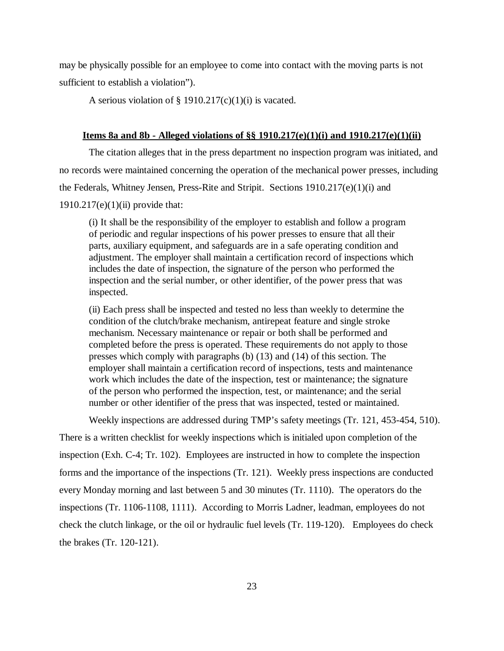may be physically possible for an employee to come into contact with the moving parts is not sufficient to establish a violation").

A serious violation of  $\S$  1910.217(c)(1)(i) is vacated.

# **Items 8a and 8b - Alleged violations of §§ 1910.217(e)(1)(i) and 1910.217(e)(1)(ii)**

The citation alleges that in the press department no inspection program was initiated, and no records were maintained concerning the operation of the mechanical power presses, including the Federals, Whitney Jensen, Press-Rite and Stripit. Sections 1910.217(e)(1)(i) and  $1910.217(e)(1)(ii)$  provide that:

(i) It shall be the responsibility of the employer to establish and follow a program of periodic and regular inspections of his power presses to ensure that all their parts, auxiliary equipment, and safeguards are in a safe operating condition and adjustment. The employer shall maintain a certification record of inspections which includes the date of inspection, the signature of the person who performed the inspection and the serial number, or other identifier, of the power press that was inspected.

(ii) Each press shall be inspected and tested no less than weekly to determine the condition of the clutch/brake mechanism, antirepeat feature and single stroke mechanism. Necessary maintenance or repair or both shall be performed and completed before the press is operated. These requirements do not apply to those presses which comply with paragraphs (b) (13) and (14) of this section. The employer shall maintain a certification record of inspections, tests and maintenance work which includes the date of the inspection, test or maintenance; the signature of the person who performed the inspection, test, or maintenance; and the serial number or other identifier of the press that was inspected, tested or maintained.

Weekly inspections are addressed during TMP's safety meetings (Tr. 121, 453-454, 510).

There is a written checklist for weekly inspections which is initialed upon completion of the inspection (Exh. C-4; Tr. 102). Employees are instructed in how to complete the inspection forms and the importance of the inspections (Tr. 121). Weekly press inspections are conducted every Monday morning and last between 5 and 30 minutes (Tr. 1110). The operators do the inspections (Tr. 1106-1108, 1111). According to Morris Ladner, leadman, employees do not check the clutch linkage, or the oil or hydraulic fuel levels (Tr. 119-120). Employees do check the brakes (Tr. 120-121).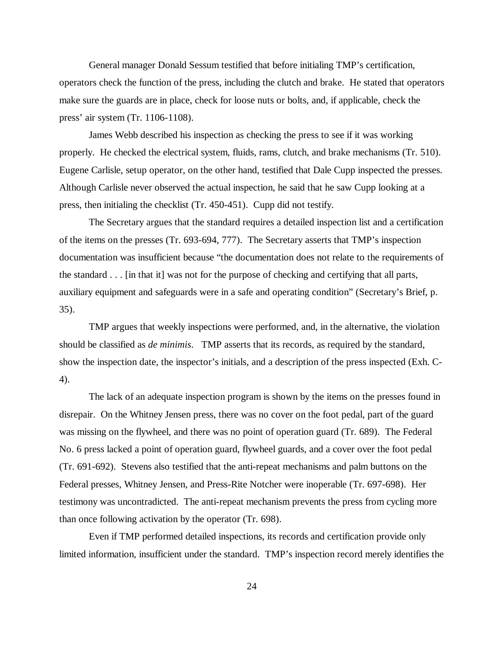General manager Donald Sessum testified that before initialing TMP's certification, operators check the function of the press, including the clutch and brake. He stated that operators make sure the guards are in place, check for loose nuts or bolts, and, if applicable, check the press' air system (Tr. 1106-1108).

James Webb described his inspection as checking the press to see if it was working properly. He checked the electrical system, fluids, rams, clutch, and brake mechanisms (Tr. 510). Eugene Carlisle, setup operator, on the other hand, testified that Dale Cupp inspected the presses. Although Carlisle never observed the actual inspection, he said that he saw Cupp looking at a press, then initialing the checklist (Tr. 450-451). Cupp did not testify.

The Secretary argues that the standard requires a detailed inspection list and a certification of the items on the presses (Tr. 693-694, 777). The Secretary asserts that TMP's inspection documentation was insufficient because "the documentation does not relate to the requirements of the standard . . . [in that it] was not for the purpose of checking and certifying that all parts, auxiliary equipment and safeguards were in a safe and operating condition" (Secretary's Brief, p. 35).

TMP argues that weekly inspections were performed, and, in the alternative, the violation should be classified as *de minimis*. TMP asserts that its records, as required by the standard, show the inspection date, the inspector's initials, and a description of the press inspected (Exh. C-4).

The lack of an adequate inspection program is shown by the items on the presses found in disrepair. On the Whitney Jensen press, there was no cover on the foot pedal, part of the guard was missing on the flywheel, and there was no point of operation guard (Tr. 689). The Federal No. 6 press lacked a point of operation guard, flywheel guards, and a cover over the foot pedal (Tr. 691-692). Stevens also testified that the anti-repeat mechanisms and palm buttons on the Federal presses, Whitney Jensen, and Press-Rite Notcher were inoperable (Tr. 697-698). Her testimony was uncontradicted. The anti-repeat mechanism prevents the press from cycling more than once following activation by the operator (Tr. 698).

Even if TMP performed detailed inspections, its records and certification provide only limited information, insufficient under the standard. TMP's inspection record merely identifies the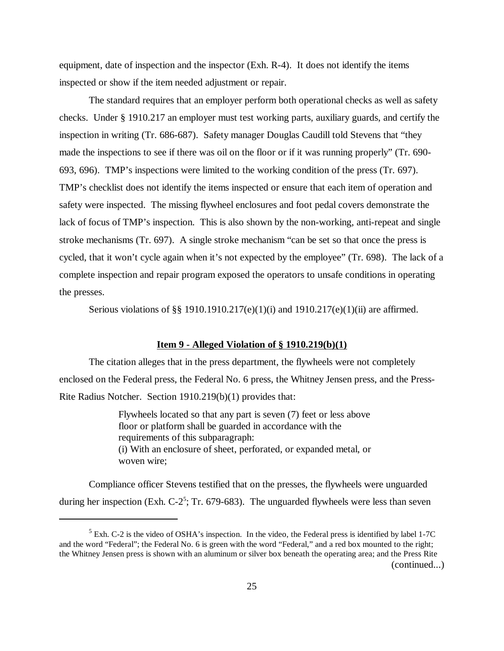equipment, date of inspection and the inspector (Exh. R-4). It does not identify the items inspected or show if the item needed adjustment or repair.

The standard requires that an employer perform both operational checks as well as safety checks. Under § 1910.217 an employer must test working parts, auxiliary guards, and certify the inspection in writing (Tr. 686-687). Safety manager Douglas Caudill told Stevens that "they made the inspections to see if there was oil on the floor or if it was running properly" (Tr. 690- 693, 696). TMP's inspections were limited to the working condition of the press (Tr. 697). TMP's checklist does not identify the items inspected or ensure that each item of operation and safety were inspected. The missing flywheel enclosures and foot pedal covers demonstrate the lack of focus of TMP's inspection. This is also shown by the non-working, anti-repeat and single stroke mechanisms (Tr. 697). A single stroke mechanism "can be set so that once the press is cycled, that it won't cycle again when it's not expected by the employee" (Tr. 698). The lack of a complete inspection and repair program exposed the operators to unsafe conditions in operating the presses.

Serious violations of §§ 1910.1910.217(e)(1)(i) and 1910.217(e)(1)(ii) are affirmed.

#### **Item 9 - Alleged Violation of § 1910.219(b)(1)**

The citation alleges that in the press department, the flywheels were not completely enclosed on the Federal press, the Federal No. 6 press, the Whitney Jensen press, and the Press-Rite Radius Notcher. Section 1910.219(b)(1) provides that:

> Flywheels located so that any part is seven (7) feet or less above floor or platform shall be guarded in accordance with the requirements of this subparagraph: (i) With an enclosure of sheet, perforated, or expanded metal, or woven wire;

Compliance officer Stevens testified that on the presses, the flywheels were unguarded during her inspection (Exh.  $C-2^5$ ; Tr. 679-683). The unguarded flywheels were less than seven

(continued...)

 $<sup>5</sup>$  Exh. C-2 is the video of OSHA's inspection. In the video, the Federal press is identified by label 1-7C</sup> and the word "Federal"; the Federal No. 6 is green with the word "Federal," and a red box mounted to the right; the Whitney Jensen press is shown with an aluminum or silver box beneath the operating area; and the Press Rite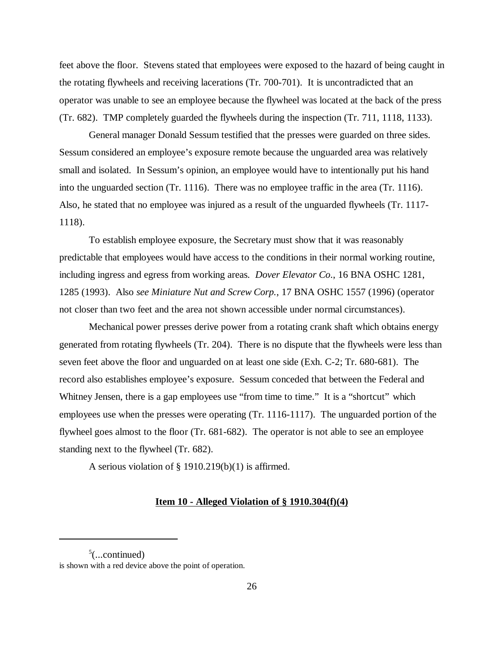feet above the floor. Stevens stated that employees were exposed to the hazard of being caught in the rotating flywheels and receiving lacerations (Tr. 700-701). It is uncontradicted that an operator was unable to see an employee because the flywheel was located at the back of the press (Tr. 682). TMP completely guarded the flywheels during the inspection (Tr. 711, 1118, 1133).

General manager Donald Sessum testified that the presses were guarded on three sides. Sessum considered an employee's exposure remote because the unguarded area was relatively small and isolated. In Sessum's opinion, an employee would have to intentionally put his hand into the unguarded section (Tr. 1116). There was no employee traffic in the area (Tr. 1116). Also, he stated that no employee was injured as a result of the unguarded flywheels (Tr. 1117- 1118).

To establish employee exposure, the Secretary must show that it was reasonably predictable that employees would have access to the conditions in their normal working routine, including ingress and egress from working areas*. Dover Elevator Co*., 16 BNA OSHC 1281, 1285 (1993). Also *see Miniature Nut and Screw Corp.*, 17 BNA OSHC 1557 (1996) (operator not closer than two feet and the area not shown accessible under normal circumstances).

Mechanical power presses derive power from a rotating crank shaft which obtains energy generated from rotating flywheels (Tr. 204). There is no dispute that the flywheels were less than seven feet above the floor and unguarded on at least one side (Exh. C-2; Tr. 680-681). The record also establishes employee's exposure. Sessum conceded that between the Federal and Whitney Jensen, there is a gap employees use "from time to time." It is a "shortcut" which employees use when the presses were operating (Tr. 1116-1117). The unguarded portion of the flywheel goes almost to the floor (Tr. 681-682). The operator is not able to see an employee standing next to the flywheel (Tr. 682).

A serious violation of § 1910.219(b)(1) is affirmed.

## **Item 10 - Alleged Violation of § 1910.304(f)(4)**

 $5$ (...continued)

is shown with a red device above the point of operation.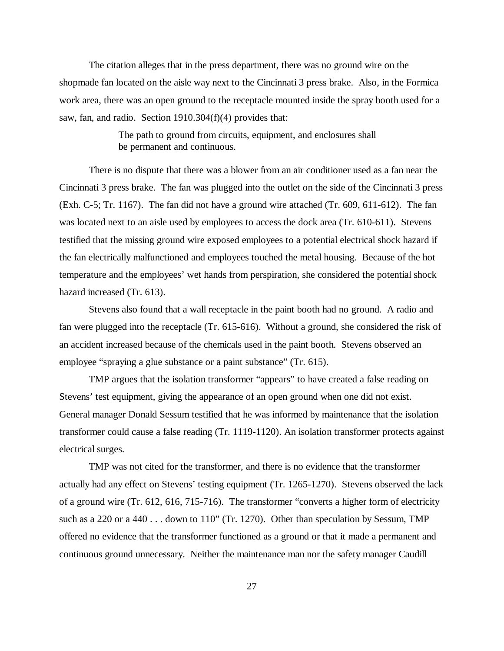The citation alleges that in the press department, there was no ground wire on the shopmade fan located on the aisle way next to the Cincinnati 3 press brake. Also, in the Formica work area, there was an open ground to the receptacle mounted inside the spray booth used for a saw, fan, and radio. Section 1910.304(f)(4) provides that:

> The path to ground from circuits, equipment, and enclosures shall be permanent and continuous.

There is no dispute that there was a blower from an air conditioner used as a fan near the Cincinnati 3 press brake. The fan was plugged into the outlet on the side of the Cincinnati 3 press (Exh. C-5; Tr. 1167). The fan did not have a ground wire attached (Tr. 609, 611-612). The fan was located next to an aisle used by employees to access the dock area (Tr. 610-611). Stevens testified that the missing ground wire exposed employees to a potential electrical shock hazard if the fan electrically malfunctioned and employees touched the metal housing. Because of the hot temperature and the employees' wet hands from perspiration, she considered the potential shock hazard increased (Tr. 613).

Stevens also found that a wall receptacle in the paint booth had no ground. A radio and fan were plugged into the receptacle (Tr. 615-616). Without a ground, she considered the risk of an accident increased because of the chemicals used in the paint booth. Stevens observed an employee "spraying a glue substance or a paint substance" (Tr. 615).

TMP argues that the isolation transformer "appears" to have created a false reading on Stevens' test equipment, giving the appearance of an open ground when one did not exist. General manager Donald Sessum testified that he was informed by maintenance that the isolation transformer could cause a false reading (Tr. 1119-1120). An isolation transformer protects against electrical surges.

TMP was not cited for the transformer, and there is no evidence that the transformer actually had any effect on Stevens' testing equipment (Tr. 1265-1270). Stevens observed the lack of a ground wire (Tr. 612, 616, 715-716). The transformer "converts a higher form of electricity such as a 220 or a 440 . . . down to 110" (Tr. 1270). Other than speculation by Sessum, TMP offered no evidence that the transformer functioned as a ground or that it made a permanent and continuous ground unnecessary. Neither the maintenance man nor the safety manager Caudill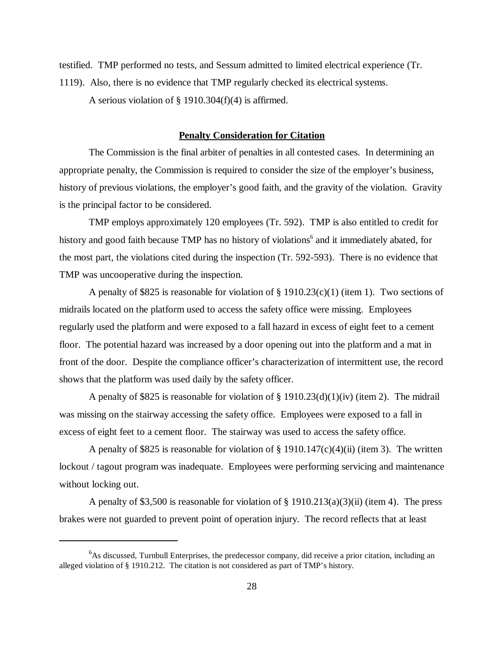testified. TMP performed no tests, and Sessum admitted to limited electrical experience (Tr. 1119). Also, there is no evidence that TMP regularly checked its electrical systems. A serious violation of § 1910.304(f)(4) is affirmed.

# **Penalty Consideration for Citation**

The Commission is the final arbiter of penalties in all contested cases. In determining an appropriate penalty, the Commission is required to consider the size of the employer's business, history of previous violations, the employer's good faith, and the gravity of the violation. Gravity is the principal factor to be considered.

TMP employs approximately 120 employees (Tr. 592). TMP is also entitled to credit for history and good faith because TMP has no history of violations<sup>6</sup> and it immediately abated, for the most part, the violations cited during the inspection (Tr. 592-593). There is no evidence that TMP was uncooperative during the inspection.

A penalty of \$825 is reasonable for violation of  $\S$  1910.23(c)(1) (item 1). Two sections of midrails located on the platform used to access the safety office were missing. Employees regularly used the platform and were exposed to a fall hazard in excess of eight feet to a cement floor. The potential hazard was increased by a door opening out into the platform and a mat in front of the door. Despite the compliance officer's characterization of intermittent use, the record shows that the platform was used daily by the safety officer.

A penalty of \$825 is reasonable for violation of  $\S$  1910.23(d)(1)(iv) (item 2). The midrail was missing on the stairway accessing the safety office. Employees were exposed to a fall in excess of eight feet to a cement floor. The stairway was used to access the safety office.

A penalty of \$825 is reasonable for violation of  $\S$  1910.147(c)(4)(ii) (item 3). The written lockout / tagout program was inadequate. Employees were performing servicing and maintenance without locking out.

A penalty of \$3,500 is reasonable for violation of  $\S$  1910.213(a)(3)(ii) (item 4). The press brakes were not guarded to prevent point of operation injury. The record reflects that at least

 $6$ As discussed, Turnbull Enterprises, the predecessor company, did receive a prior citation, including an alleged violation of § 1910.212. The citation is not considered as part of TMP's history.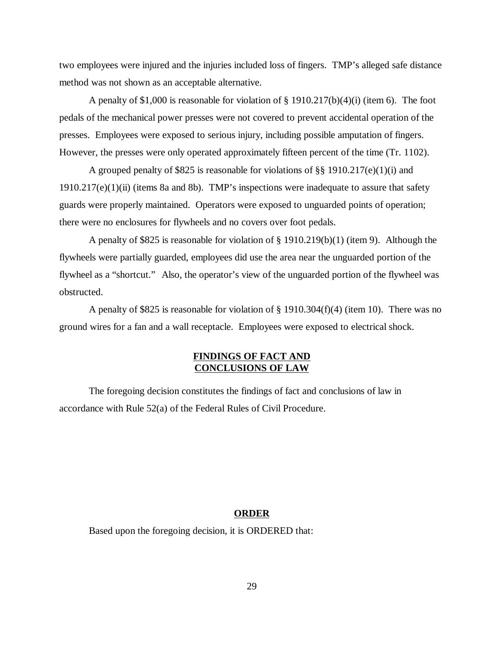two employees were injured and the injuries included loss of fingers. TMP's alleged safe distance method was not shown as an acceptable alternative.

A penalty of \$1,000 is reasonable for violation of  $\S$  1910.217(b)(4)(i) (item 6). The foot pedals of the mechanical power presses were not covered to prevent accidental operation of the presses. Employees were exposed to serious injury, including possible amputation of fingers. However, the presses were only operated approximately fifteen percent of the time (Tr. 1102).

A grouped penalty of \$825 is reasonable for violations of §§ 1910.217(e)(1)(i) and  $1910.217(e)(1)(ii)$  (items 8a and 8b). TMP's inspections were inadequate to assure that safety guards were properly maintained. Operators were exposed to unguarded points of operation; there were no enclosures for flywheels and no covers over foot pedals.

A penalty of \$825 is reasonable for violation of § 1910.219(b)(1) (item 9). Although the flywheels were partially guarded, employees did use the area near the unguarded portion of the flywheel as a "shortcut." Also, the operator's view of the unguarded portion of the flywheel was obstructed.

A penalty of \$825 is reasonable for violation of § 1910.304(f)(4) (item 10). There was no ground wires for a fan and a wall receptacle. Employees were exposed to electrical shock.

# **FINDINGS OF FACT AND CONCLUSIONS OF LAW**

The foregoing decision constitutes the findings of fact and conclusions of law in accordance with Rule 52(a) of the Federal Rules of Civil Procedure.

### **ORDER**

Based upon the foregoing decision, it is ORDERED that: